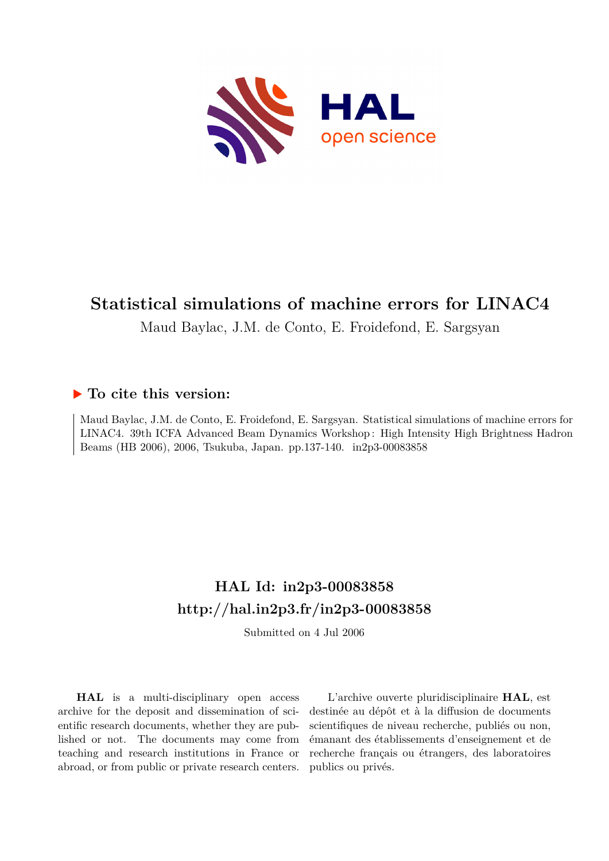

# **Statistical simulations of machine errors for LINAC4**

Maud Baylac, J.M. de Conto, E. Froidefond, E. Sargsyan

# **To cite this version:**

Maud Baylac, J.M. de Conto, E. Froidefond, E. Sargsyan. Statistical simulations of machine errors for LINAC4. 39th ICFA Advanced Beam Dynamics Workshop : High Intensity High Brightness Hadron Beams (HB 2006), 2006, Tsukuba, Japan. pp.137-140. in2p3-00083858

# **HAL Id: in2p3-00083858 <http://hal.in2p3.fr/in2p3-00083858>**

Submitted on 4 Jul 2006

**HAL** is a multi-disciplinary open access archive for the deposit and dissemination of scientific research documents, whether they are published or not. The documents may come from teaching and research institutions in France or abroad, or from public or private research centers.

L'archive ouverte pluridisciplinaire **HAL**, est destinée au dépôt et à la diffusion de documents scientifiques de niveau recherche, publiés ou non, émanant des établissements d'enseignement et de recherche français ou étrangers, des laboratoires publics ou privés.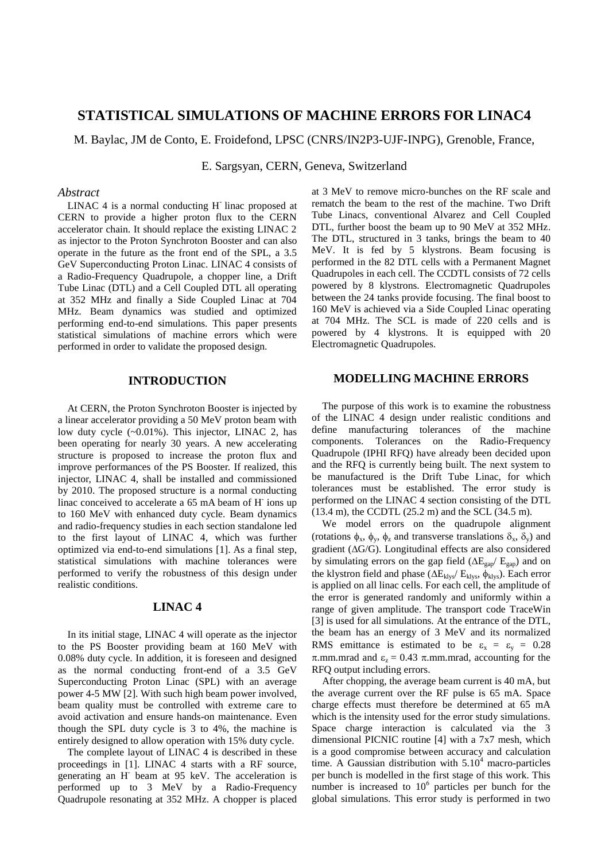## **STATISTICAL SIMULATIONS OF MACHINE ERRORS FOR LINAC4**

M. Baylac, JM de Conto, E. Froidefond, LPSC (CNRS/IN2P3-UJF-INPG), Grenoble, France,

E. Sargsyan, CERN, Geneva, Switzerland

#### *Abstract*

LINAC 4 is a normal conducting H-linac proposed at CERN to provide a higher proton flux to the CERN accelerator chain. It should replace the existing LINAC 2 as injector to the Proton Synchroton Booster and can also operate in the future as the front end of the SPL, a 3.5 GeV Superconducting Proton Linac. LINAC 4 consists of a Radio-Frequency Quadrupole, a chopper line, a Drift Tube Linac (DTL) and a Cell Coupled DTL all operating at 352 MHz and finally a Side Coupled Linac at 704 MHz. Beam dynamics was studied and optimized performing end-to-end simulations. This paper presents statistical simulations of machine errors which were performed in order to validate the proposed design.

#### **INTRODUCTION**

At CERN, the Proton Synchroton Booster is injected by a linear accelerator providing a 50 MeV proton beam with low duty cycle (~0.01%). This injector, LINAC 2, has been operating for nearly 30 years. A new accelerating structure is proposed to increase the proton flux and improve performances of the PS Booster. If realized, this injector, LINAC 4, shall be installed and commissioned by 2010. The proposed structure is a normal conducting linac conceived to accelerate a 65 mA beam of H ions up to 160 MeV with enhanced duty cycle. Beam dynamics and radio-frequency studies in each section standalone led to the first layout of LINAC 4, which was further optimized via end-to-end simulations [1]. As a final step, statistical simulations with machine tolerances were performed to verify the robustness of this design under realistic conditions.

#### **LINAC 4**

In its initial stage, LINAC 4 will operate as the injector to the PS Booster providing beam at 160 MeV with 0.08% duty cycle. In addition, it is foreseen and designed as the normal conducting front-end of a 3.5 GeV Superconducting Proton Linac (SPL) with an average power 4-5 MW [2]. With such high beam power involved, beam quality must be controlled with extreme care to avoid activation and ensure hands-on maintenance. Even though the SPL duty cycle is 3 to 4%, the machine is entirely designed to allow operation with 15% duty cycle.

The complete layout of LINAC 4 is described in these proceedings in [1]. LINAC 4 starts with a RF source, generating an H-beam at 95 keV. The acceleration is performed up to 3 MeV by a Radio-Frequency Quadrupole resonating at 352 MHz. A chopper is placed

at 3 MeV to remove micro-bunches on the RF scale and rematch the beam to the rest of the machine. Two Drift Tube Linacs, conventional Alvarez and Cell Coupled DTL, further boost the beam up to 90 MeV at 352 MHz. The DTL, structured in 3 tanks, brings the beam to 40 MeV. It is fed by 5 klystrons. Beam focusing is performed in the 82 DTL cells with a Permanent Magnet Quadrupoles in each cell. The CCDTL consists of 72 cells powered by 8 klystrons. Electromagnetic Quadrupoles between the 24 tanks provide focusing. The final boost to 160 MeV is achieved via a Side Coupled Linac operating at 704 MHz. The SCL is made of 220 cells and is powered by 4 klystrons. It is equipped with 20 Electromagnetic Quadrupoles.

#### **MODELLING MACHINE ERRORS**

The purpose of this work is to examine the robustness of the LINAC 4 design under realistic conditions and define manufacturing tolerances of the machine components. Tolerances on the Radio-Frequency Quadrupole (IPHI RFQ) have already been decided upon and the RFQ is currently being built. The next system to be manufactured is the Drift Tube Linac, for which tolerances must be established. The error study is performed on the LINAC 4 section consisting of the DTL (13.4 m), the CCDTL (25.2 m) and the SCL (34.5 m).

We model errors on the quadrupole alignment (rotations  $\phi_x$ ,  $\phi_y$ ,  $\phi_z$  and transverse translations  $\delta_x$ ,  $\delta_y$ ) and gradient ( $\Delta G/G$ ). Longitudinal effects are also considered by simulating errors on the gap field  $(\Delta E_{\text{gap}}/ E_{\text{gap}})$  and on the klystron field and phase ( $\Delta E_{\text{klys}}/E_{\text{klys}}$ ,  $\phi_{\text{klys}}$ ). Each error is applied on all linac cells. For each cell, the amplitude of the error is generated randomly and uniformly within a range of given amplitude. The transport code TraceWin [3] is used for all simulations. At the entrance of the DTL, the beam has an energy of 3 MeV and its normalized RMS emittance is estimated to be  $\varepsilon_x = \varepsilon_y = 0.28$  $\pi$ .mm.mrad and  $\varepsilon_z = 0.43$   $\pi$ .mm.mrad, accounting for the RFQ output including errors.

After chopping, the average beam current is 40 mA, but the average current over the RF pulse is 65 mA. Space charge effects must therefore be determined at 65 mA which is the intensity used for the error study simulations. Space charge interaction is calculated via the 3 dimensional PICNIC routine [4] with a 7x7 mesh, which is a good compromise between accuracy and calculation time. A Gaussian distribution with  $5.10<sup>4</sup>$  macro-particles per bunch is modelled in the first stage of this work. This number is increased to  $10^6$  particles per bunch for the global simulations. This error study is performed in two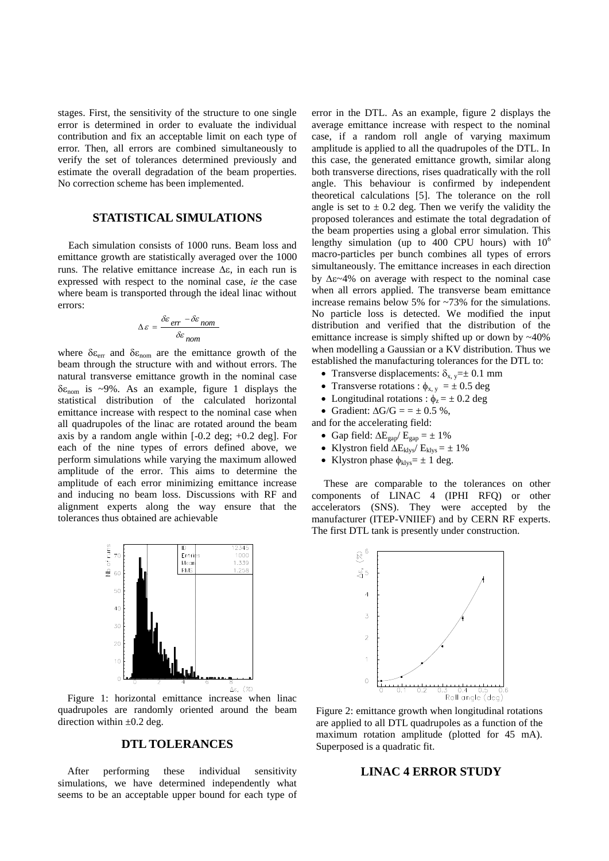stages. First, the sensitivity of the structure to one single error is determined in order to evaluate the individual contribution and fix an acceptable limit on each type of error. Then, all errors are combined simultaneously to verify the set of tolerances determined previously and estimate the overall degradation of the beam properties. No correction scheme has been implemented.

### **STATISTICAL SIMULATIONS**

Each simulation consists of 1000 runs. Beam loss and emittance growth are statistically averaged over the 1000 runs. The relative emittance increase  $\Delta \varepsilon$ , in each run is expressed with respect to the nominal case, *ie* the case where beam is transported through the ideal linac without errors:

$$
\Delta \varepsilon = \frac{\delta \varepsilon_{err} - \delta \varepsilon_{nom}}{\delta \varepsilon_{nom}}
$$

where  $\delta \varepsilon_{\text{err}}$  and  $\delta \varepsilon_{\text{nom}}$  are the emittance growth of the beam through the structure with and without errors. The natural transverse emittance growth in the nominal case  $\delta \varepsilon_{\text{nom}}$  is ~9%. As an example, figure 1 displays the statistical distribution of the calculated horizontal emittance increase with respect to the nominal case when all quadrupoles of the linac are rotated around the beam axis by a random angle within  $[-0.2 \text{ deg}; +0.2 \text{ deg}]$ . For each of the nine types of errors defined above, we perform simulations while varying the maximum allowed amplitude of the error. This aims to determine the amplitude of each error minimizing emittance increase and inducing no beam loss. Discussions with RF and alignment experts along the way ensure that the tolerances thus obtained are achievable



Figure 1: horizontal emittance increase when linac quadrupoles are randomly oriented around the beam direction within  $\pm 0.2$  deg.

### **DTL TOLERANCES**

After performing these individual sensitivity simulations, we have determined independently what seems to be an acceptable upper bound for each type of error in the DTL. As an example, figure 2 displays the average emittance increase with respect to the nominal case, if a random roll angle of varying maximum amplitude is applied to all the quadrupoles of the DTL. In this case, the generated emittance growth, similar along both transverse directions, rises quadratically with the roll angle. This behaviour is confirmed by independent theoretical calculations [5]. The tolerance on the roll angle is set to  $\pm$  0.2 deg. Then we verify the validity the proposed tolerances and estimate the total degradation of the beam properties using a global error simulation. This lengthy simulation (up to 400 CPU hours) with  $10^6$ macro-particles per bunch combines all types of errors simultaneously. The emittance increases in each direction by  $\Delta \epsilon \sim 4\%$  on average with respect to the nominal case when all errors applied. The transverse beam emittance increase remains below 5% for ~73% for the simulations. No particle loss is detected. We modified the input distribution and verified that the distribution of the emittance increase is simply shifted up or down by ~40% when modelling a Gaussian or a KV distribution. Thus we established the manufacturing tolerances for the DTL to:

- Transverse displacements:  $\delta_{x, y} = \pm 0.1$  mm
- Transverse rotations :  $\phi_{x, y} = \pm 0.5$  deg
- Longitudinal rotations :  $\phi_z = \pm 0.2$  deg
- Gradient:  $\Delta G/G = \pm 0.5 \%$ ,
- and for the accelerating field:
	- Gap field:  $\Delta E_{\text{gap}}/ E_{\text{gap}} = \pm 1\%$
	- Klystron field  $\Delta E_{klys}$ /  $E_{klys}$  =  $\pm$  1%
	- Klystron phase  $\phi_{\text{klys}} = \pm 1$  deg.

These are comparable to the tolerances on other components of LINAC 4 (IPHI RFQ) or other accelerators (SNS). They were accepted by the manufacturer (ITEP-VNIIEF) and by CERN RF experts. The first DTL tank is presently under construction.



Figure 2: emittance growth when longitudinal rotations are applied to all DTL quadrupoles as a function of the maximum rotation amplitude (plotted for 45 mA). Superposed is a quadratic fit.

#### **LINAC 4 ERROR STUDY**